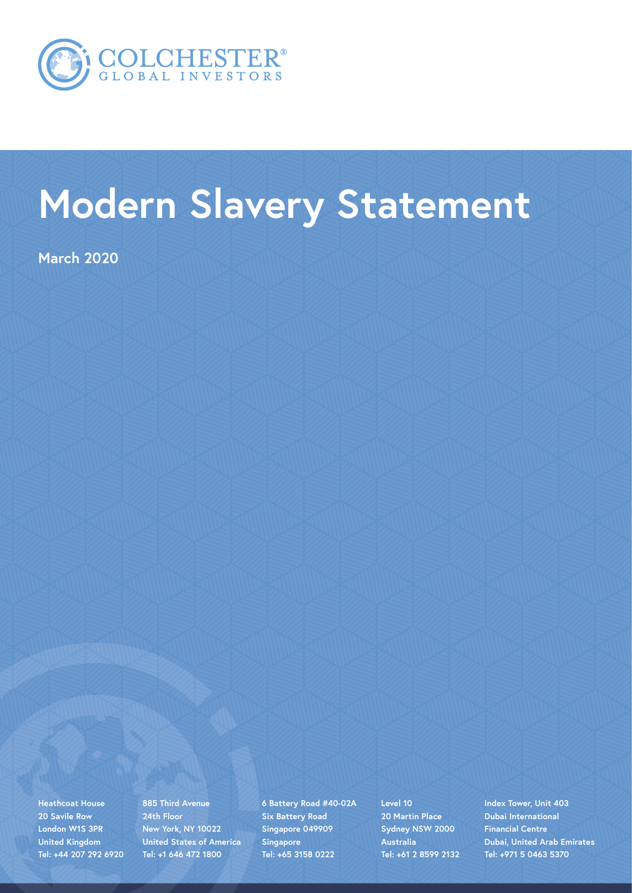

## **Modern Slavery Statement**

**March 2020**

**Heathcoat House 20 Savile Row London W1S 3PR United Kingdom Tel: +44 207 292 6920** **885 Third Avenue 24th Floor New York, NY 10022 United States of America Tel: +1 646 472 1800**

**6 Battery Road #40-02A Six Battery Road Singapore 049909 Singapore Tel: +65 3158 0222**

**Level 10 20 Martin Place Sydney NSW 2000 Australia Tel: +61 2 8599 2132** **Index Tower, Unit 403 Dubai International Financial Centre Dubai, United Arab Emirates Tel: +971 5 0463 5370**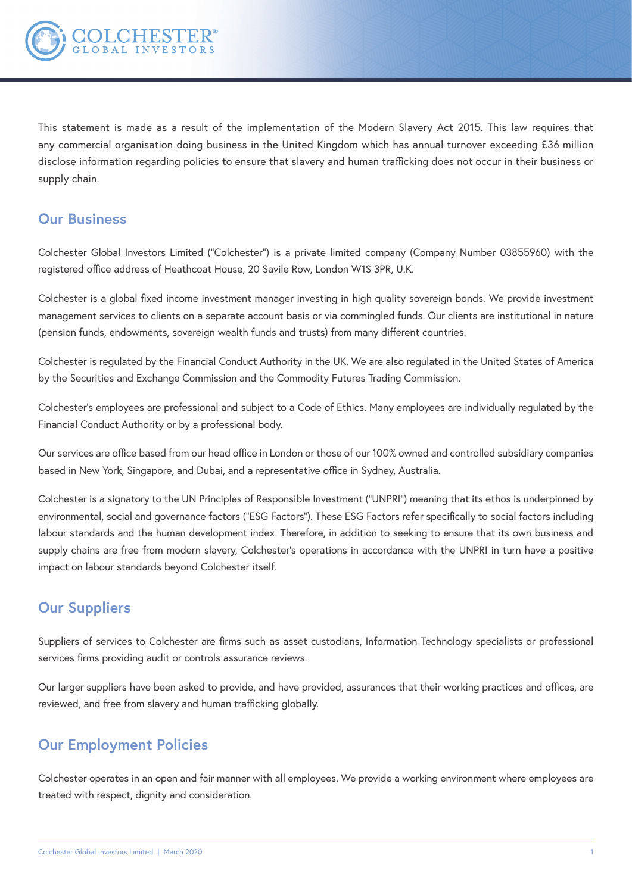

This statement is made as a result of the implementation of the Modern Slavery Act 2015. This law requires that any commercial organisation doing business in the United Kingdom which has annual turnover exceeding £36 million disclose information regarding policies to ensure that slavery and human trafficking does not occur in their business or supply chain.

## **Our Business**

Colchester Global Investors Limited ("Colchester") is a private limited company (Company Number 03855960) with the registered office address of Heathcoat House, 20 Savile Row, London W1S 3PR, U.K.

Colchester is a global fixed income investment manager investing in high quality sovereign bonds. We provide investment management services to clients on a separate account basis or via commingled funds. Our clients are institutional in nature (pension funds, endowments, sovereign wealth funds and trusts) from many different countries.

Colchester is regulated by the Financial Conduct Authority in the UK. We are also regulated in the United States of America by the Securities and Exchange Commission and the Commodity Futures Trading Commission.

Colchester's employees are professional and subject to a Code of Ethics. Many employees are individually regulated by the Financial Conduct Authority or by a professional body.

Our services are office based from our head office in London or those of our 100% owned and controlled subsidiary companies based in New York, Singapore, and Dubai, and a representative office in Sydney, Australia.

Colchester is a signatory to the UN Principles of Responsible Investment ("UNPRI") meaning that its ethos is underpinned by environmental, social and governance factors ("ESG Factors"). These ESG Factors refer specifically to social factors including labour standards and the human development index. Therefore, in addition to seeking to ensure that its own business and supply chains are free from modern slavery, Colchester's operations in accordance with the UNPRI in turn have a positive impact on labour standards beyond Colchester itself.

## **Our Suppliers**

Suppliers of services to Colchester are firms such as asset custodians, Information Technology specialists or professional services firms providing audit or controls assurance reviews.

Our larger suppliers have been asked to provide, and have provided, assurances that their working practices and offices, are reviewed, and free from slavery and human trafficking globally.

## **Our Employment Policies**

Colchester operates in an open and fair manner with all employees. We provide a working environment where employees are treated with respect, dignity and consideration.